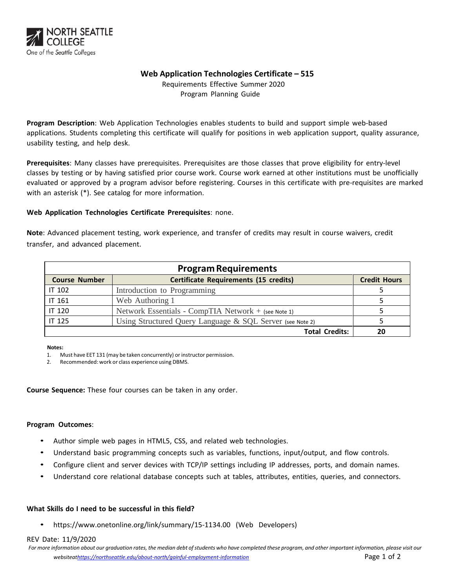

# **Web Application Technologies Certificate – 515**

Requirements Effective Summer 2020 Program Planning Guide

**Program Description**: Web Application Technologies enables students to build and support simple web-based applications. Students completing this certificate will qualify for positions in web application support, quality assurance, usability testing, and help desk.

**Prerequisites**: Many classes have prerequisites. Prerequisites are those classes that prove eligibility for entry-level classes by testing or by having satisfied prior course work. Course work earned at other institutions must be unofficially evaluated or approved by a program advisor before registering. Courses in this certificate with pre-requisites are marked with an asterisk (\*). See catalog for more information.

## **Web Application Technologies Certificate Prerequisites**: none.

**Note**: Advanced placement testing, work experience, and transfer of credits may result in course waivers, credit transfer, and advanced placement.

| <b>Program Requirements</b> |                                                           |                     |  |  |  |
|-----------------------------|-----------------------------------------------------------|---------------------|--|--|--|
| <b>Course Number</b>        | <b>Certificate Requirements (15 credits)</b>              | <b>Credit Hours</b> |  |  |  |
| IT 102                      | Introduction to Programming                               |                     |  |  |  |
| IT 161                      | Web Authoring 1                                           |                     |  |  |  |
| IT 120                      | Network Essentials - CompTIA Network + (see Note 1)       |                     |  |  |  |
| IT 125                      | Using Structured Query Language & SQL Server (see Note 2) |                     |  |  |  |
|                             | <b>Total Credits:</b>                                     |                     |  |  |  |

#### **Notes:**

1. Must have EET 131 (may be taken concurrently) or instructor permission.

2. Recommended: work or class experience using DBMS.

**Course Sequence:** These four courses can be taken in any order.

## **Program Outcomes**:

- Author simple web pages in HTML5, CSS, and related web technologies.
- Understand basic programming concepts such as variables, functions, input/output, and flow controls.
- Configure client and server devices with TCP/IP settings including IP addresses, ports, and domain names.
- Understand core relational database concepts such at tables, attributes, entities, queries, and connectors.

## **What Skills do I need to be successful in this field?**

• https://www.onetonline.org/link/summary/15-1134.00 (Web Developers)

#### REV Date: 11/9/2020